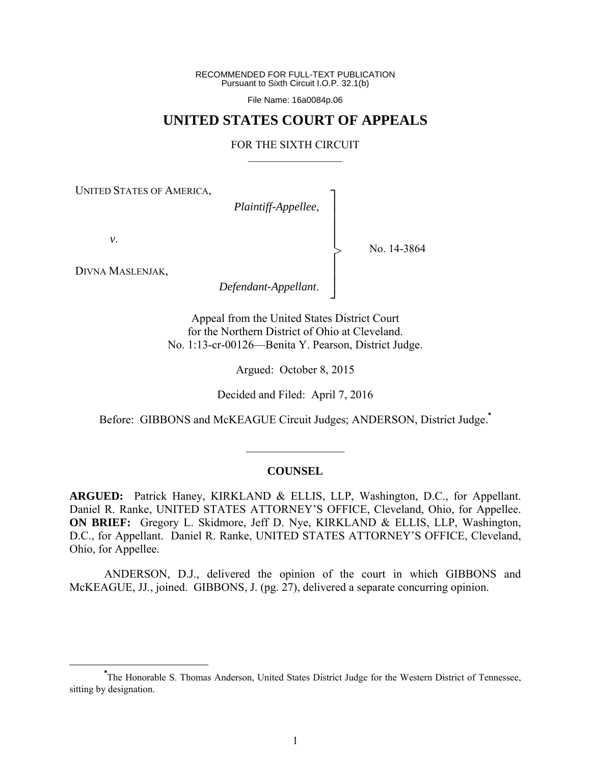RECOMMENDED FOR FULL-TEXT PUBLICATION Pursuant to Sixth Circuit I.O.P. 32.1(b)

File Name: 16a0084p.06

# **UNITED STATES COURT OF APPEALS**

#### FOR THE SIXTH CIRCUIT  $\mathcal{L}_\text{max}$

┐ │ │ │ │ │ │ │ ┘

>

UNITED STATES OF AMERICA,

*Plaintiff-Appellee*,

*v*.

No. 14-3864

DIVNA MASLENJAK,

*Defendant-Appellant*.

Appeal from the United States District Court for the Northern District of Ohio at Cleveland. No. 1:13-cr-00126—Benita Y. Pearson, District Judge.

Argued: October 8, 2015

Decided and Filed: April 7, 2016

Before: GIBBONS and McKEAGUE Circuit Judges; ANDERSON, District Judge.**\*** 

#### **COUNSEL**

 $\frac{1}{2}$ 

**ARGUED:** Patrick Haney, KIRKLAND & ELLIS, LLP, Washington, D.C., for Appellant. Daniel R. Ranke, UNITED STATES ATTORNEY'S OFFICE, Cleveland, Ohio, for Appellee. **ON BRIEF:** Gregory L. Skidmore, Jeff D. Nye, KIRKLAND & ELLIS, LLP, Washington, D.C., for Appellant. Daniel R. Ranke, UNITED STATES ATTORNEY'S OFFICE, Cleveland, Ohio, for Appellee.

 ANDERSON, D.J., delivered the opinion of the court in which GIBBONS and McKEAGUE, JJ., joined. GIBBONS, J. (pg. 27), delivered a separate concurring opinion.

**\*** The Honorable S. Thomas Anderson, United States District Judge for the Western District of Tennessee, sitting by designation.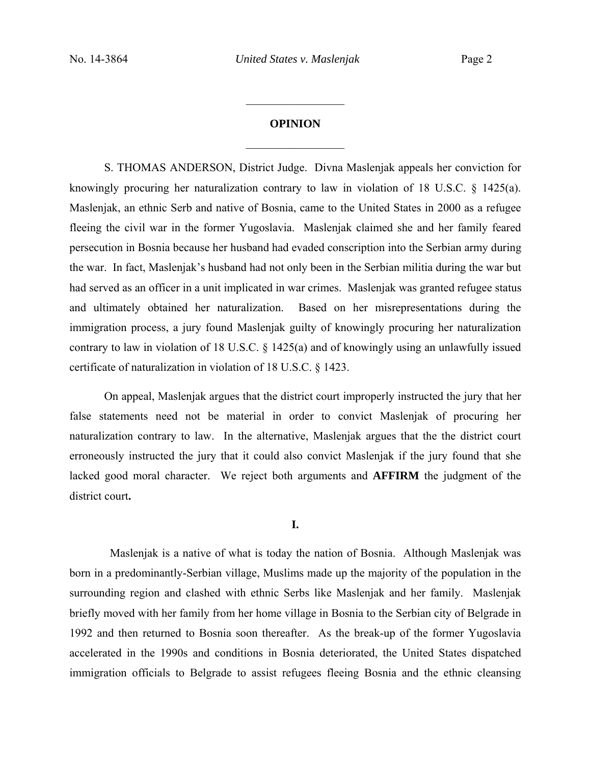# **OPINION**   $\frac{1}{2}$

 $\frac{1}{2}$ 

S. THOMAS ANDERSON, District Judge. Divna Maslenjak appeals her conviction for knowingly procuring her naturalization contrary to law in violation of 18 U.S.C. § 1425(a). Maslenjak, an ethnic Serb and native of Bosnia, came to the United States in 2000 as a refugee fleeing the civil war in the former Yugoslavia. Maslenjak claimed she and her family feared persecution in Bosnia because her husband had evaded conscription into the Serbian army during the war. In fact, Maslenjak's husband had not only been in the Serbian militia during the war but had served as an officer in a unit implicated in war crimes. Maslenjak was granted refugee status and ultimately obtained her naturalization. Based on her misrepresentations during the immigration process, a jury found Maslenjak guilty of knowingly procuring her naturalization contrary to law in violation of 18 U.S.C. § 1425(a) and of knowingly using an unlawfully issued certificate of naturalization in violation of 18 U.S.C. § 1423.

 On appeal, Maslenjak argues that the district court improperly instructed the jury that her false statements need not be material in order to convict Maslenjak of procuring her naturalization contrary to law. In the alternative, Maslenjak argues that the the district court erroneously instructed the jury that it could also convict Maslenjak if the jury found that she lacked good moral character. We reject both arguments and **AFFIRM** the judgment of the district court**.**

#### **I.**

 Maslenjak is a native of what is today the nation of Bosnia. Although Maslenjak was born in a predominantly-Serbian village, Muslims made up the majority of the population in the surrounding region and clashed with ethnic Serbs like Maslenjak and her family. Maslenjak briefly moved with her family from her home village in Bosnia to the Serbian city of Belgrade in 1992 and then returned to Bosnia soon thereafter. As the break-up of the former Yugoslavia accelerated in the 1990s and conditions in Bosnia deteriorated, the United States dispatched immigration officials to Belgrade to assist refugees fleeing Bosnia and the ethnic cleansing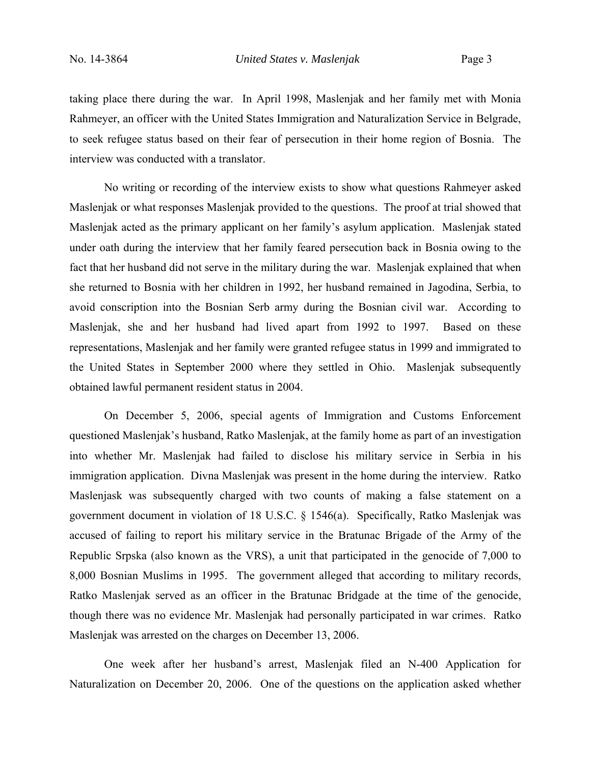taking place there during the war. In April 1998, Maslenjak and her family met with Monia Rahmeyer, an officer with the United States Immigration and Naturalization Service in Belgrade, to seek refugee status based on their fear of persecution in their home region of Bosnia. The interview was conducted with a translator.

No writing or recording of the interview exists to show what questions Rahmeyer asked Maslenjak or what responses Maslenjak provided to the questions. The proof at trial showed that Maslenjak acted as the primary applicant on her family's asylum application. Maslenjak stated under oath during the interview that her family feared persecution back in Bosnia owing to the fact that her husband did not serve in the military during the war. Maslenjak explained that when she returned to Bosnia with her children in 1992, her husband remained in Jagodina, Serbia, to avoid conscription into the Bosnian Serb army during the Bosnian civil war. According to Maslenjak, she and her husband had lived apart from 1992 to 1997. Based on these representations, Maslenjak and her family were granted refugee status in 1999 and immigrated to the United States in September 2000 where they settled in Ohio. Maslenjak subsequently obtained lawful permanent resident status in 2004.

 On December 5, 2006, special agents of Immigration and Customs Enforcement questioned Maslenjak's husband, Ratko Maslenjak, at the family home as part of an investigation into whether Mr. Maslenjak had failed to disclose his military service in Serbia in his immigration application. Divna Maslenjak was present in the home during the interview. Ratko Maslenjask was subsequently charged with two counts of making a false statement on a government document in violation of 18 U.S.C. § 1546(a). Specifically, Ratko Maslenjak was accused of failing to report his military service in the Bratunac Brigade of the Army of the Republic Srpska (also known as the VRS), a unit that participated in the genocide of 7,000 to 8,000 Bosnian Muslims in 1995. The government alleged that according to military records, Ratko Maslenjak served as an officer in the Bratunac Bridgade at the time of the genocide, though there was no evidence Mr. Maslenjak had personally participated in war crimes. Ratko Maslenjak was arrested on the charges on December 13, 2006.

One week after her husband's arrest, Maslenjak filed an N-400 Application for Naturalization on December 20, 2006. One of the questions on the application asked whether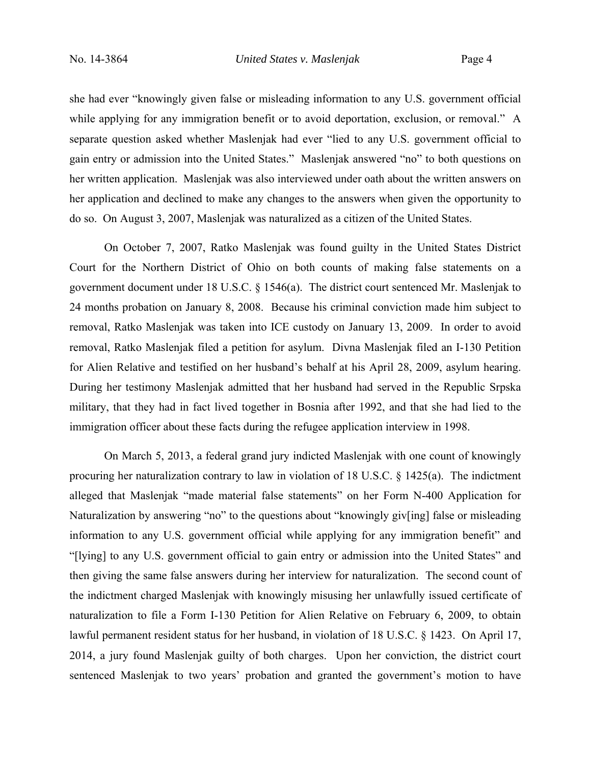she had ever "knowingly given false or misleading information to any U.S. government official while applying for any immigration benefit or to avoid deportation, exclusion, or removal." A separate question asked whether Maslenjak had ever "lied to any U.S. government official to gain entry or admission into the United States." Maslenjak answered "no" to both questions on her written application. Maslenjak was also interviewed under oath about the written answers on her application and declined to make any changes to the answers when given the opportunity to do so. On August 3, 2007, Maslenjak was naturalized as a citizen of the United States.

On October 7, 2007, Ratko Maslenjak was found guilty in the United States District Court for the Northern District of Ohio on both counts of making false statements on a government document under 18 U.S.C. § 1546(a). The district court sentenced Mr. Maslenjak to 24 months probation on January 8, 2008. Because his criminal conviction made him subject to removal, Ratko Maslenjak was taken into ICE custody on January 13, 2009. In order to avoid removal, Ratko Maslenjak filed a petition for asylum. Divna Maslenjak filed an I-130 Petition for Alien Relative and testified on her husband's behalf at his April 28, 2009, asylum hearing. During her testimony Maslenjak admitted that her husband had served in the Republic Srpska military, that they had in fact lived together in Bosnia after 1992, and that she had lied to the immigration officer about these facts during the refugee application interview in 1998.

On March 5, 2013, a federal grand jury indicted Maslenjak with one count of knowingly procuring her naturalization contrary to law in violation of 18 U.S.C. § 1425(a). The indictment alleged that Maslenjak "made material false statements" on her Form N-400 Application for Naturalization by answering "no" to the questions about "knowingly giv[ing] false or misleading information to any U.S. government official while applying for any immigration benefit" and "[lying] to any U.S. government official to gain entry or admission into the United States" and then giving the same false answers during her interview for naturalization. The second count of the indictment charged Maslenjak with knowingly misusing her unlawfully issued certificate of naturalization to file a Form I-130 Petition for Alien Relative on February 6, 2009, to obtain lawful permanent resident status for her husband, in violation of 18 U.S.C. § 1423. On April 17, 2014, a jury found Maslenjak guilty of both charges. Upon her conviction, the district court sentenced Maslenjak to two years' probation and granted the government's motion to have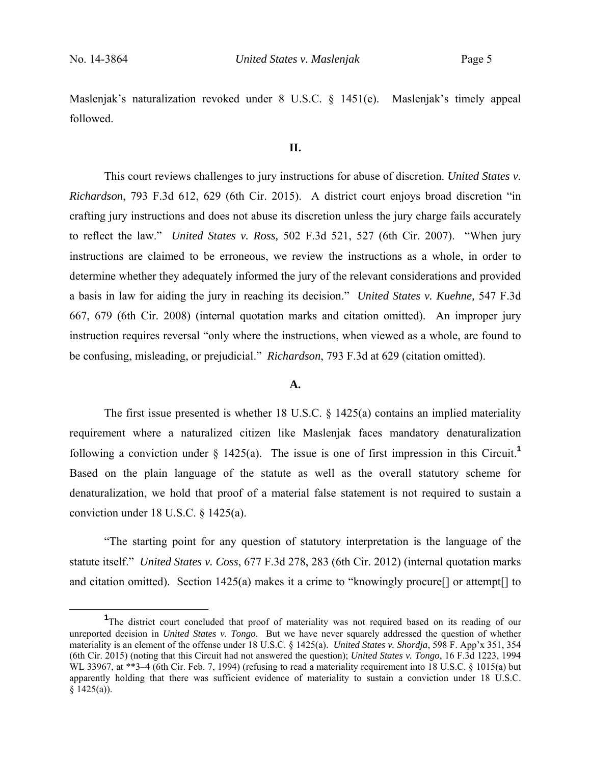Maslenjak's naturalization revoked under 8 U.S.C. § 1451(e). Maslenjak's timely appeal followed.

#### **II.**

 This court reviews challenges to jury instructions for abuse of discretion. *United States v. Richardson*, 793 F.3d 612, 629 (6th Cir. 2015). A district court enjoys broad discretion "in crafting jury instructions and does not abuse its discretion unless the jury charge fails accurately to reflect the law." *United States v. Ross,* 502 F.3d 521, 527 (6th Cir. 2007). "When jury instructions are claimed to be erroneous, we review the instructions as a whole, in order to determine whether they adequately informed the jury of the relevant considerations and provided a basis in law for aiding the jury in reaching its decision." *United States v. Kuehne,* 547 F.3d 667, 679 (6th Cir. 2008) (internal quotation marks and citation omitted). An improper jury instruction requires reversal "only where the instructions, when viewed as a whole, are found to be confusing, misleading, or prejudicial." *Richardson*, 793 F.3d at 629 (citation omitted).

## **A.**

The first issue presented is whether 18 U.S.C. § 1425(a) contains an implied materiality requirement where a naturalized citizen like Maslenjak faces mandatory denaturalization following a conviction under  $\S$  1425(a). The issue is one of first impression in this Circuit.<sup>1</sup> Based on the plain language of the statute as well as the overall statutory scheme for denaturalization, we hold that proof of a material false statement is not required to sustain a conviction under 18 U.S.C. § 1425(a).

 "The starting point for any question of statutory interpretation is the language of the statute itself." *United States v. Coss*, 677 F.3d 278, 283 (6th Cir. 2012) (internal quotation marks and citation omitted). Section 1425(a) makes it a crime to "knowingly procure<sup>[]</sup> or attempt<sup>[]</sup> to

 $\frac{1}{1}$ <sup>1</sup>The district court concluded that proof of materiality was not required based on its reading of our unreported decision in *United States v. Tongo*. But we have never squarely addressed the question of whether materiality is an element of the offense under 18 U.S.C. § 1425(a). *United States v. Shordja*, 598 F. App'x 351, 354 (6th Cir. 2015) (noting that this Circuit had not answered the question); *United States v. Tongo*, 16 F.3d 1223, 1994 WL 33967, at \*\*3–4 (6th Cir. Feb. 7, 1994) (refusing to read a materiality requirement into 18 U.S.C. § 1015(a) but apparently holding that there was sufficient evidence of materiality to sustain a conviction under 18 U.S.C.  $§ 1425(a)$ ).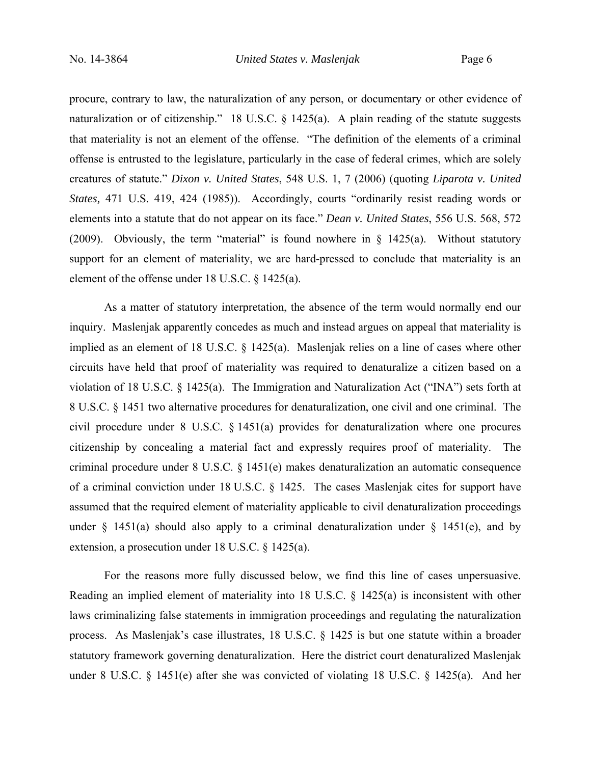procure, contrary to law, the naturalization of any person, or documentary or other evidence of naturalization or of citizenship." 18 U.S.C. § 1425(a). A plain reading of the statute suggests that materiality is not an element of the offense. "The definition of the elements of a criminal offense is entrusted to the legislature, particularly in the case of federal crimes, which are solely creatures of statute." *Dixon v. United States*, 548 U.S. 1, 7 (2006) (quoting *Liparota v. United States,* 471 U.S. 419, 424 (1985)). Accordingly, courts "ordinarily resist reading words or elements into a statute that do not appear on its face." *Dean v. United States*, 556 U.S. 568, 572 (2009). Obviously, the term "material" is found nowhere in  $\S$  1425(a). Without statutory support for an element of materiality, we are hard-pressed to conclude that materiality is an element of the offense under 18 U.S.C. § 1425(a).

As a matter of statutory interpretation, the absence of the term would normally end our inquiry. Maslenjak apparently concedes as much and instead argues on appeal that materiality is implied as an element of 18 U.S.C. § 1425(a). Maslenjak relies on a line of cases where other circuits have held that proof of materiality was required to denaturalize a citizen based on a violation of 18 U.S.C. § 1425(a). The Immigration and Naturalization Act ("INA") sets forth at 8 U.S.C. § 1451 two alternative procedures for denaturalization, one civil and one criminal. The civil procedure under 8 U.S.C. § 1451(a) provides for denaturalization where one procures citizenship by concealing a material fact and expressly requires proof of materiality. The criminal procedure under 8 U.S.C. § 1451(e) makes denaturalization an automatic consequence of a criminal conviction under 18 U.S.C. § 1425. The cases Maslenjak cites for support have assumed that the required element of materiality applicable to civil denaturalization proceedings under  $\frac{1451(a)}{a}$  should also apply to a criminal denaturalization under  $\frac{1451(e)}{e}$ , and by extension, a prosecution under 18 U.S.C. § 1425(a).

For the reasons more fully discussed below, we find this line of cases unpersuasive. Reading an implied element of materiality into 18 U.S.C. § 1425(a) is inconsistent with other laws criminalizing false statements in immigration proceedings and regulating the naturalization process. As Maslenjak's case illustrates, 18 U.S.C. § 1425 is but one statute within a broader statutory framework governing denaturalization. Here the district court denaturalized Maslenjak under 8 U.S.C. § 1451(e) after she was convicted of violating 18 U.S.C. § 1425(a). And her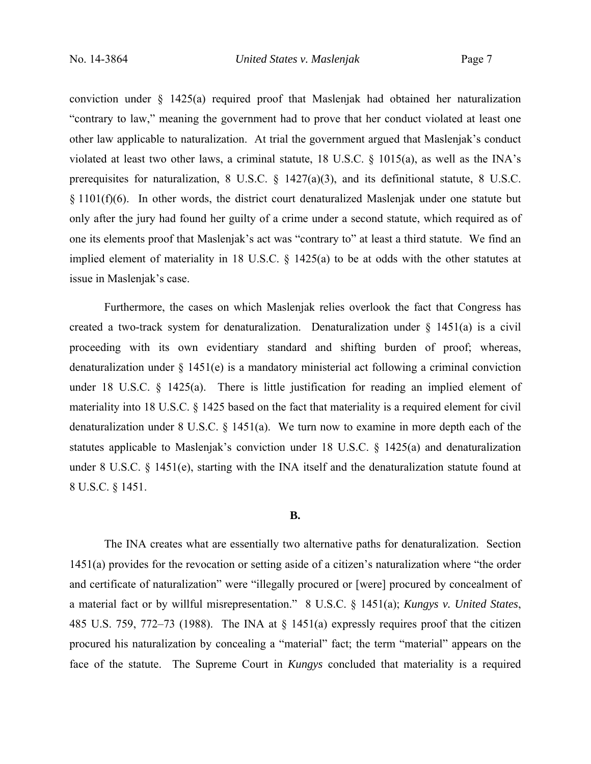conviction under § 1425(a) required proof that Maslenjak had obtained her naturalization "contrary to law," meaning the government had to prove that her conduct violated at least one other law applicable to naturalization. At trial the government argued that Maslenjak's conduct violated at least two other laws, a criminal statute, 18 U.S.C. § 1015(a), as well as the INA's prerequisites for naturalization, 8 U.S.C. § 1427(a)(3), and its definitional statute, 8 U.S.C.  $§ 1101(f)(6)$ . In other words, the district court denaturalized Maslenjak under one statute but only after the jury had found her guilty of a crime under a second statute, which required as of one its elements proof that Maslenjak's act was "contrary to" at least a third statute. We find an implied element of materiality in 18 U.S.C. § 1425(a) to be at odds with the other statutes at issue in Maslenjak's case.

 Furthermore, the cases on which Maslenjak relies overlook the fact that Congress has created a two-track system for denaturalization. Denaturalization under § 1451(a) is a civil proceeding with its own evidentiary standard and shifting burden of proof; whereas, denaturalization under § 1451(e) is a mandatory ministerial act following a criminal conviction under 18 U.S.C. § 1425(a). There is little justification for reading an implied element of materiality into 18 U.S.C. § 1425 based on the fact that materiality is a required element for civil denaturalization under 8 U.S.C. § 1451(a). We turn now to examine in more depth each of the statutes applicable to Maslenjak's conviction under 18 U.S.C. § 1425(a) and denaturalization under 8 U.S.C. § 1451(e), starting with the INA itself and the denaturalization statute found at 8 U.S.C. § 1451.

### **B.**

The INA creates what are essentially two alternative paths for denaturalization. Section 1451(a) provides for the revocation or setting aside of a citizen's naturalization where "the order and certificate of naturalization" were "illegally procured or [were] procured by concealment of a material fact or by willful misrepresentation." 8 U.S.C. § 1451(a); *Kungys v. United States*, 485 U.S. 759, 772–73 (1988). The INA at § 1451(a) expressly requires proof that the citizen procured his naturalization by concealing a "material" fact; the term "material" appears on the face of the statute. The Supreme Court in *Kungys* concluded that materiality is a required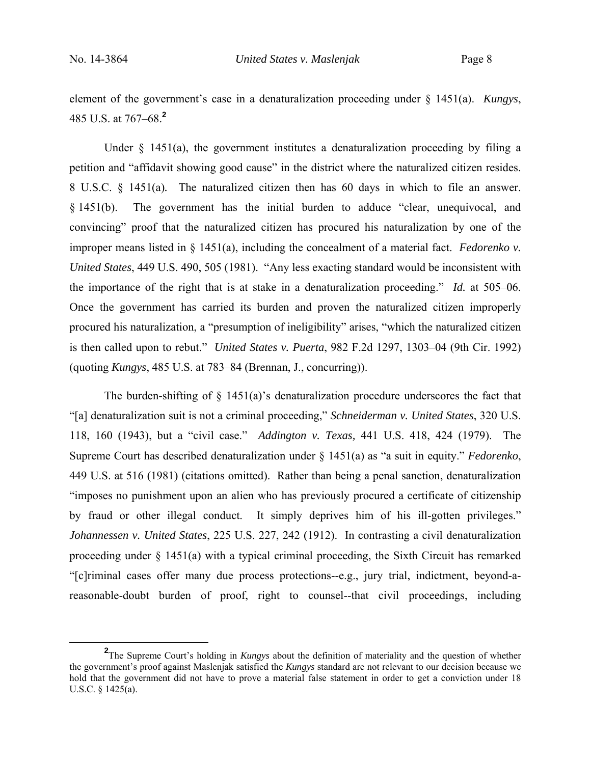element of the government's case in a denaturalization proceeding under § 1451(a). *Kungys*, 485 U.S. at 767–68.**<sup>2</sup>**

Under  $\S$  1451(a), the government institutes a denaturalization proceeding by filing a petition and "affidavit showing good cause" in the district where the naturalized citizen resides. 8 U.S.C. § 1451(a)*.* The naturalized citizen then has 60 days in which to file an answer. § 1451(b). The government has the initial burden to adduce "clear, unequivocal, and convincing" proof that the naturalized citizen has procured his naturalization by one of the improper means listed in § 1451(a), including the concealment of a material fact. *Fedorenko v. United States*, 449 U.S. 490, 505 (1981). "Any less exacting standard would be inconsistent with the importance of the right that is at stake in a denaturalization proceeding." *Id.* at 505–06. Once the government has carried its burden and proven the naturalized citizen improperly procured his naturalization, a "presumption of ineligibility" arises, "which the naturalized citizen is then called upon to rebut." *United States v. Puerta*, 982 F.2d 1297, 1303–04 (9th Cir. 1992) (quoting *Kungys*, 485 U.S. at 783–84 (Brennan, J., concurring)).

The burden-shifting of  $\S$  1451(a)'s denaturalization procedure underscores the fact that "[a] denaturalization suit is not a criminal proceeding," *Schneiderman v. United States*, 320 U.S. 118, 160 (1943), but a "civil case." *Addington v. Texas,* 441 U.S. 418, 424 (1979). The Supreme Court has described denaturalization under § 1451(a) as "a suit in equity." *Fedorenko*, 449 U.S. at 516 (1981) (citations omitted). Rather than being a penal sanction, denaturalization "imposes no punishment upon an alien who has previously procured a certificate of citizenship by fraud or other illegal conduct. It simply deprives him of his ill-gotten privileges." *Johannessen v. United States*, 225 U.S. 227, 242 (1912). In contrasting a civil denaturalization proceeding under § 1451(a) with a typical criminal proceeding, the Sixth Circuit has remarked "[c]riminal cases offer many due process protections--e.g., jury trial, indictment, beyond-areasonable-doubt burden of proof, right to counsel--that civil proceedings, including

**<sup>2</sup>** <sup>2</sup>The Supreme Court's holding in *Kungys* about the definition of materiality and the question of whether the government's proof against Maslenjak satisfied the *Kungys* standard are not relevant to our decision because we hold that the government did not have to prove a material false statement in order to get a conviction under 18 U.S.C. § 1425(a).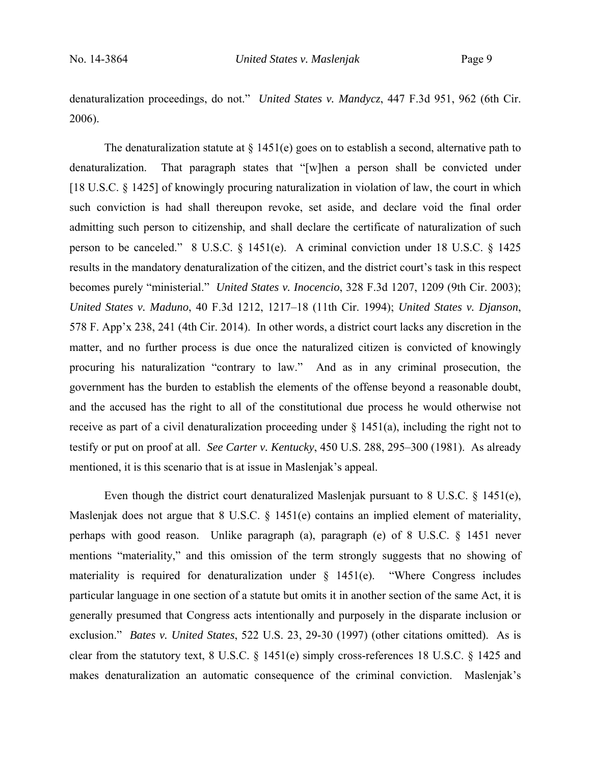denaturalization proceedings, do not." *United States v. Mandycz*, 447 F.3d 951, 962 (6th Cir. 2006).

The denaturalization statute at  $\S$  1451(e) goes on to establish a second, alternative path to denaturalization. That paragraph states that "[w]hen a person shall be convicted under [18 U.S.C. § 1425] of knowingly procuring naturalization in violation of law, the court in which such conviction is had shall thereupon revoke, set aside, and declare void the final order admitting such person to citizenship, and shall declare the certificate of naturalization of such person to be canceled." 8 U.S.C. § 1451(e). A criminal conviction under 18 U.S.C. § 1425 results in the mandatory denaturalization of the citizen, and the district court's task in this respect becomes purely "ministerial." *United States v. Inocencio*, 328 F.3d 1207, 1209 (9th Cir. 2003); *United States v. Maduno*, 40 F.3d 1212, 1217–18 (11th Cir. 1994); *United States v. Djanson*, 578 F. App'x 238, 241 (4th Cir. 2014). In other words, a district court lacks any discretion in the matter, and no further process is due once the naturalized citizen is convicted of knowingly procuring his naturalization "contrary to law." And as in any criminal prosecution, the government has the burden to establish the elements of the offense beyond a reasonable doubt, and the accused has the right to all of the constitutional due process he would otherwise not receive as part of a civil denaturalization proceeding under § 1451(a), including the right not to testify or put on proof at all. *See Carter v. Kentucky*, 450 U.S. 288, 295–300 (1981). As already mentioned, it is this scenario that is at issue in Maslenjak's appeal.

Even though the district court denaturalized Maslenjak pursuant to 8 U.S.C. § 1451(e), Maslenjak does not argue that 8 U.S.C. § 1451(e) contains an implied element of materiality, perhaps with good reason. Unlike paragraph (a), paragraph (e) of 8 U.S.C. § 1451 never mentions "materiality," and this omission of the term strongly suggests that no showing of materiality is required for denaturalization under  $\S$  1451(e). "Where Congress includes particular language in one section of a statute but omits it in another section of the same Act, it is generally presumed that Congress acts intentionally and purposely in the disparate inclusion or exclusion." *Bates v. United States*, 522 U.S. 23, 29-30 (1997) (other citations omitted). As is clear from the statutory text, 8 U.S.C. § 1451(e) simply cross-references 18 U.S.C. § 1425 and makes denaturalization an automatic consequence of the criminal conviction. Maslenjak's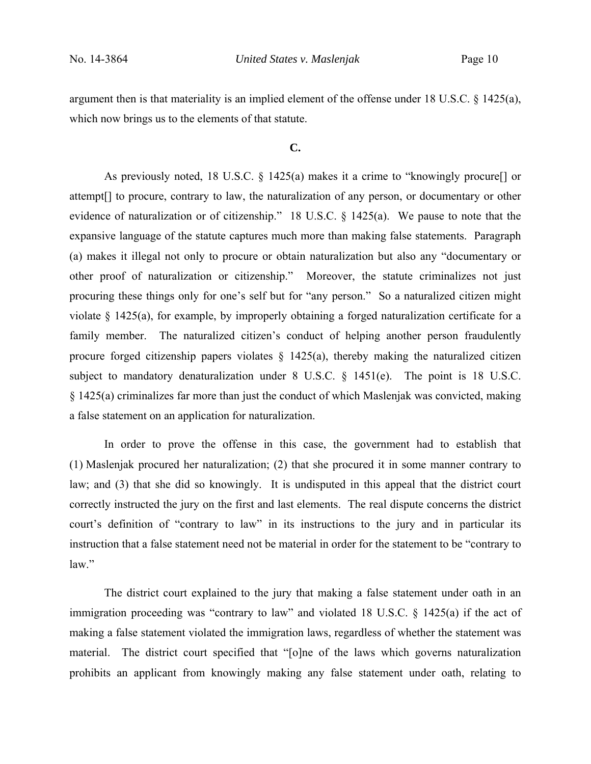argument then is that materiality is an implied element of the offense under 18 U.S.C. § 1425(a), which now brings us to the elements of that statute.

#### **C.**

As previously noted, 18 U.S.C. § 1425(a) makes it a crime to "knowingly procure[] or attempt[] to procure, contrary to law, the naturalization of any person, or documentary or other evidence of naturalization or of citizenship." 18 U.S.C. § 1425(a). We pause to note that the expansive language of the statute captures much more than making false statements. Paragraph (a) makes it illegal not only to procure or obtain naturalization but also any "documentary or other proof of naturalization or citizenship." Moreover, the statute criminalizes not just procuring these things only for one's self but for "any person." So a naturalized citizen might violate § 1425(a), for example, by improperly obtaining a forged naturalization certificate for a family member. The naturalized citizen's conduct of helping another person fraudulently procure forged citizenship papers violates  $\S$  1425(a), thereby making the naturalized citizen subject to mandatory denaturalization under 8 U.S.C. § 1451(e). The point is 18 U.S.C. § 1425(a) criminalizes far more than just the conduct of which Maslenjak was convicted, making a false statement on an application for naturalization.

In order to prove the offense in this case, the government had to establish that (1) Maslenjak procured her naturalization; (2) that she procured it in some manner contrary to law; and (3) that she did so knowingly. It is undisputed in this appeal that the district court correctly instructed the jury on the first and last elements. The real dispute concerns the district court's definition of "contrary to law" in its instructions to the jury and in particular its instruction that a false statement need not be material in order for the statement to be "contrary to law."

The district court explained to the jury that making a false statement under oath in an immigration proceeding was "contrary to law" and violated 18 U.S.C. § 1425(a) if the act of making a false statement violated the immigration laws, regardless of whether the statement was material. The district court specified that "[o]ne of the laws which governs naturalization prohibits an applicant from knowingly making any false statement under oath, relating to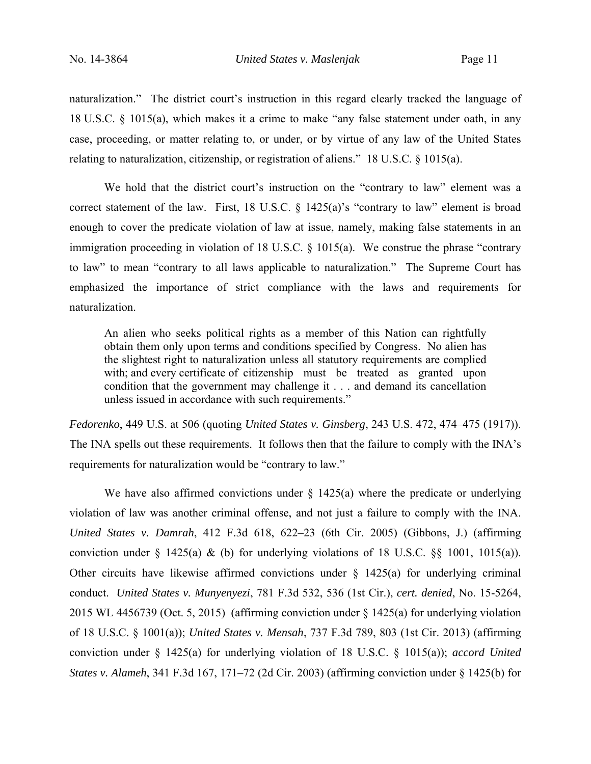naturalization." The district court's instruction in this regard clearly tracked the language of 18 U.S.C. § 1015(a), which makes it a crime to make "any false statement under oath, in any case, proceeding, or matter relating to, or under, or by virtue of any law of the United States relating to naturalization, citizenship, or registration of aliens." 18 U.S.C. § 1015(a).

We hold that the district court's instruction on the "contrary to law" element was a correct statement of the law. First, 18 U.S.C. § 1425(a)'s "contrary to law" element is broad enough to cover the predicate violation of law at issue, namely, making false statements in an immigration proceeding in violation of 18 U.S.C. § 1015(a). We construe the phrase "contrary to law" to mean "contrary to all laws applicable to naturalization." The Supreme Court has emphasized the importance of strict compliance with the laws and requirements for naturalization.

An alien who seeks political rights as a member of this Nation can rightfully obtain them only upon terms and conditions specified by Congress. No alien has the slightest right to naturalization unless all statutory requirements are complied with; and every certificate of citizenship must be treated as granted upon condition that the government may challenge it . . . and demand its cancellation unless issued in accordance with such requirements."

*Fedorenko*, 449 U.S. at 506 (quoting *United States v. Ginsberg*, 243 U.S. 472, 474–475 (1917)). The INA spells out these requirements. It follows then that the failure to comply with the INA's requirements for naturalization would be "contrary to law."

We have also affirmed convictions under  $\S$  1425(a) where the predicate or underlying violation of law was another criminal offense, and not just a failure to comply with the INA. *United States v. Damrah*, 412 F.3d 618, 622–23 (6th Cir. 2005) (Gibbons, J.) (affirming conviction under  $\S$  1425(a) & (b) for underlying violations of 18 U.S.C.  $\S$  1001, 1015(a)). Other circuits have likewise affirmed convictions under  $\S$  1425(a) for underlying criminal conduct. *United States v. Munyenyezi*, 781 F.3d 532, 536 (1st Cir.), *cert. denied*, No. 15-5264, 2015 WL 4456739 (Oct. 5, 2015) (affirming conviction under § 1425(a) for underlying violation of 18 U.S.C. § 1001(a)); *United States v. Mensah*, 737 F.3d 789, 803 (1st Cir. 2013) (affirming conviction under § 1425(a) for underlying violation of 18 U.S.C. § 1015(a)); *accord United States v. Alameh*, 341 F.3d 167, 171–72 (2d Cir. 2003) (affirming conviction under § 1425(b) for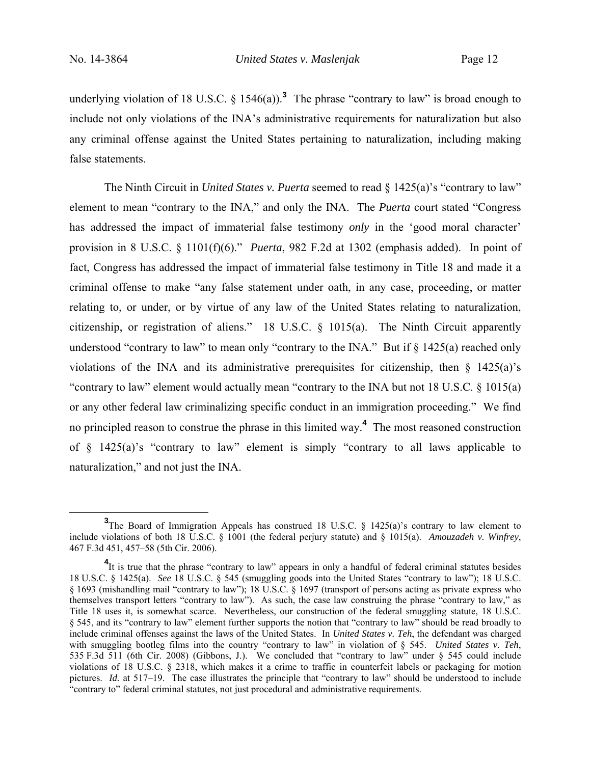underlying violation of 18 U.S.C.  $\S$  1546(a)).<sup>3</sup> The phrase "contrary to law" is broad enough to include not only violations of the INA's administrative requirements for naturalization but also any criminal offense against the United States pertaining to naturalization, including making false statements.

The Ninth Circuit in *United States v. Puerta* seemed to read § 1425(a)'s "contrary to law" element to mean "contrary to the INA," and only the INA. The *Puerta* court stated "Congress has addressed the impact of immaterial false testimony *only* in the 'good moral character' provision in 8 U.S.C. § 1101(f)(6)." *Puerta*, 982 F.2d at 1302 (emphasis added). In point of fact, Congress has addressed the impact of immaterial false testimony in Title 18 and made it a criminal offense to make "any false statement under oath, in any case, proceeding, or matter relating to, or under, or by virtue of any law of the United States relating to naturalization, citizenship, or registration of aliens." 18 U.S.C. § 1015(a). The Ninth Circuit apparently understood "contrary to law" to mean only "contrary to the INA." But if § 1425(a) reached only violations of the INA and its administrative prerequisites for citizenship, then  $\S$  1425(a)'s "contrary to law" element would actually mean "contrary to the INA but not 18 U.S.C. § 1015(a) or any other federal law criminalizing specific conduct in an immigration proceeding." We find no principled reason to construe the phrase in this limited way.**<sup>4</sup>** The most reasoned construction of  $§$  1425(a)'s "contrary to law" element is simply "contrary to all laws applicable to naturalization," and not just the INA.

**<sup>3</sup>** <sup>3</sup>The Board of Immigration Appeals has construed 18 U.S.C. § 1425(a)'s contrary to law element to include violations of both 18 U.S.C. § 1001 (the federal perjury statute) and § 1015(a). *Amouzadeh v. Winfrey*, 467 F.3d 451, 457–58 (5th Cir. 2006).

<sup>&</sup>lt;sup>4</sup>It is true that the phrase "contrary to law" appears in only a handful of federal criminal statutes besides 18 U.S.C. § 1425(a). *See* 18 U.S.C. § 545 (smuggling goods into the United States "contrary to law"); 18 U.S.C. § 1693 (mishandling mail "contrary to law"); 18 U.S.C. § 1697 (transport of persons acting as private express who themselves transport letters "contrary to law"). As such, the case law construing the phrase "contrary to law," as Title 18 uses it, is somewhat scarce. Nevertheless, our construction of the federal smuggling statute, 18 U.S.C. § 545, and its "contrary to law" element further supports the notion that "contrary to law" should be read broadly to include criminal offenses against the laws of the United States. In *United States v. Teh*, the defendant was charged with smuggling bootleg films into the country "contrary to law" in violation of § 545. *United States v. Teh*, 535 F.3d 511 (6th Cir. 2008) (Gibbons, J.). We concluded that "contrary to law" under § 545 could include violations of 18 U.S.C. § 2318, which makes it a crime to traffic in counterfeit labels or packaging for motion pictures. *Id.* at 517–19. The case illustrates the principle that "contrary to law" should be understood to include "contrary to" federal criminal statutes, not just procedural and administrative requirements.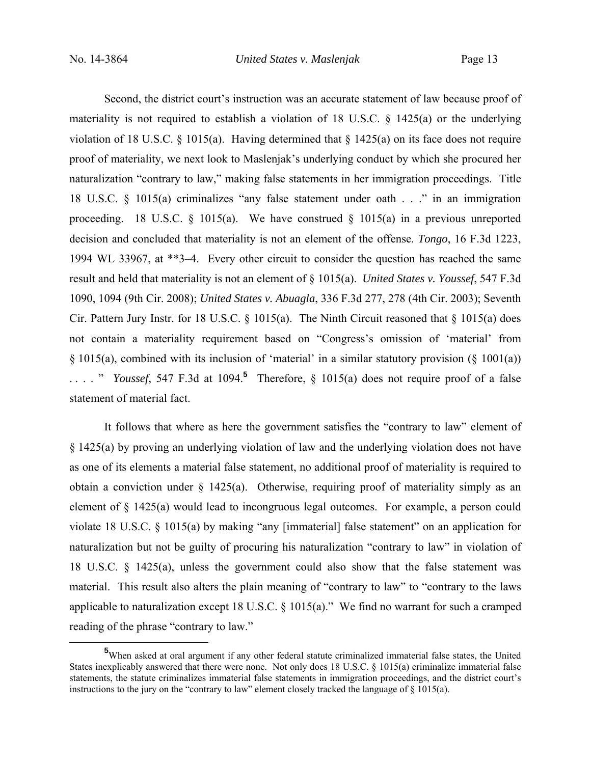Second, the district court's instruction was an accurate statement of law because proof of materiality is not required to establish a violation of 18 U.S.C. § 1425(a) or the underlying violation of 18 U.S.C. § 1015(a). Having determined that  $\S$  1425(a) on its face does not require proof of materiality, we next look to Maslenjak's underlying conduct by which she procured her naturalization "contrary to law," making false statements in her immigration proceedings. Title 18 U.S.C. § 1015(a) criminalizes "any false statement under oath . . ." in an immigration proceeding. 18 U.S.C.  $\S$  1015(a). We have construed  $\S$  1015(a) in a previous unreported decision and concluded that materiality is not an element of the offense. *Tongo*, 16 F.3d 1223, 1994 WL 33967, at \*\*3–4. Every other circuit to consider the question has reached the same result and held that materiality is not an element of § 1015(a). *United States v. Youssef*, 547 F.3d 1090, 1094 (9th Cir. 2008); *United States v. Abuagla*, 336 F.3d 277, 278 (4th Cir. 2003); Seventh Cir. Pattern Jury Instr. for 18 U.S.C. § 1015(a). The Ninth Circuit reasoned that § 1015(a) does not contain a materiality requirement based on "Congress's omission of 'material' from § 1015(a), combined with its inclusion of 'material' in a similar statutory provision (§ 1001(a)) ...." *Youssef*, 547 F.3d at 1094.<sup>5</sup> Therefore, § 1015(a) does not require proof of a false statement of material fact.

It follows that where as here the government satisfies the "contrary to law" element of § 1425(a) by proving an underlying violation of law and the underlying violation does not have as one of its elements a material false statement, no additional proof of materiality is required to obtain a conviction under § 1425(a). Otherwise, requiring proof of materiality simply as an element of § 1425(a) would lead to incongruous legal outcomes. For example, a person could violate 18 U.S.C. § 1015(a) by making "any [immaterial] false statement" on an application for naturalization but not be guilty of procuring his naturalization "contrary to law" in violation of 18 U.S.C. § 1425(a), unless the government could also show that the false statement was material. This result also alters the plain meaning of "contrary to law" to "contrary to the laws applicable to naturalization except 18 U.S.C. § 1015(a)." We find no warrant for such a cramped reading of the phrase "contrary to law."

**<sup>5</sup>** <sup>5</sup>When asked at oral argument if any other federal statute criminalized immaterial false states, the United States inexplicably answered that there were none. Not only does 18 U.S.C. § 1015(a) criminalize immaterial false statements, the statute criminalizes immaterial false statements in immigration proceedings, and the district court's instructions to the jury on the "contrary to law" element closely tracked the language of § 1015(a).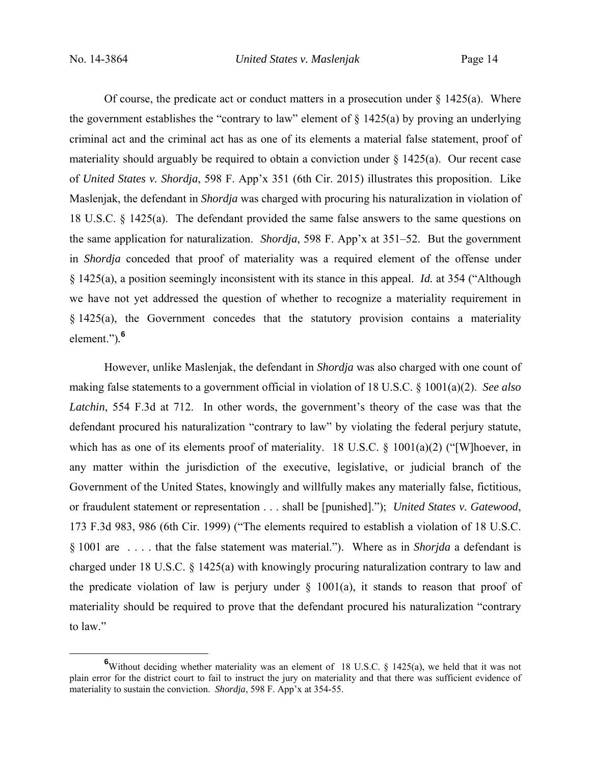Of course, the predicate act or conduct matters in a prosecution under  $\S 1425(a)$ . Where the government establishes the "contrary to law" element of  $\S$  1425(a) by proving an underlying criminal act and the criminal act has as one of its elements a material false statement, proof of materiality should arguably be required to obtain a conviction under  $\S$  1425(a). Our recent case of *United States v. Shordja*, 598 F. App'x 351 (6th Cir. 2015) illustrates this proposition. Like Maslenjak, the defendant in *Shordja* was charged with procuring his naturalization in violation of 18 U.S.C. § 1425(a). The defendant provided the same false answers to the same questions on the same application for naturalization. *Shordja*, 598 F. App'x at 351–52. But the government in *Shordja* conceded that proof of materiality was a required element of the offense under § 1425(a), a position seemingly inconsistent with its stance in this appeal. *Id.* at 354 ("Although we have not yet addressed the question of whether to recognize a materiality requirement in § 1425(a), the Government concedes that the statutory provision contains a materiality element.")*.* **6**

However, unlike Maslenjak, the defendant in *Shordja* was also charged with one count of making false statements to a government official in violation of 18 U.S.C. § 1001(a)(2). *See also Latchin*, 554 F.3d at 712. In other words, the government's theory of the case was that the defendant procured his naturalization "contrary to law" by violating the federal perjury statute, which has as one of its elements proof of materiality. 18 U.S.C. § 1001(a)(2) ("[W]hoever, in any matter within the jurisdiction of the executive, legislative, or judicial branch of the Government of the United States, knowingly and willfully makes any materially false, fictitious, or fraudulent statement or representation . . . shall be [punished]."); *United States v. Gatewood*, 173 F.3d 983, 986 (6th Cir. 1999) ("The elements required to establish a violation of 18 U.S.C. § 1001 are . . . . that the false statement was material."). Where as in *Shorjda* a defendant is charged under 18 U.S.C. § 1425(a) with knowingly procuring naturalization contrary to law and the predicate violation of law is perjury under  $\S$  1001(a), it stands to reason that proof of materiality should be required to prove that the defendant procured his naturalization "contrary to law."

**<sup>6</sup>** <sup>6</sup>Without deciding whether materiality was an element of 18 U.S.C. § 1425(a), we held that it was not plain error for the district court to fail to instruct the jury on materiality and that there was sufficient evidence of materiality to sustain the conviction. *Shordja*, 598 F. App'x at 354-55.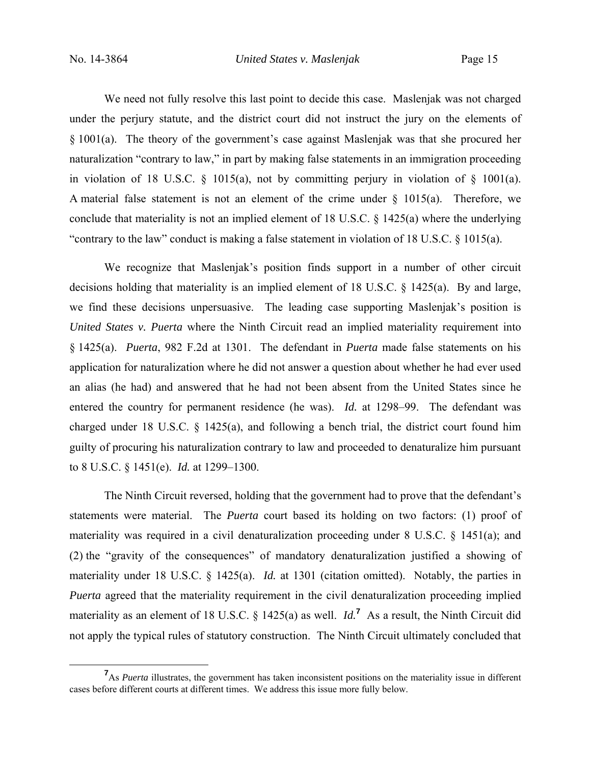We need not fully resolve this last point to decide this case. Maslenjak was not charged under the perjury statute, and the district court did not instruct the jury on the elements of § 1001(a). The theory of the government's case against Maslenjak was that she procured her naturalization "contrary to law," in part by making false statements in an immigration proceeding in violation of 18 U.S.C.  $\S$  1015(a), not by committing perjury in violation of  $\S$  1001(a). A material false statement is not an element of the crime under  $\S$  1015(a). Therefore, we conclude that materiality is not an implied element of 18 U.S.C. § 1425(a) where the underlying "contrary to the law" conduct is making a false statement in violation of 18 U.S.C. § 1015(a).

We recognize that Maslenjak's position finds support in a number of other circuit decisions holding that materiality is an implied element of 18 U.S.C. § 1425(a). By and large, we find these decisions unpersuasive. The leading case supporting Maslenjak's position is *United States v. Puerta* where the Ninth Circuit read an implied materiality requirement into § 1425(a). *Puerta*, 982 F.2d at 1301. The defendant in *Puerta* made false statements on his application for naturalization where he did not answer a question about whether he had ever used an alias (he had) and answered that he had not been absent from the United States since he entered the country for permanent residence (he was). *Id.* at 1298–99. The defendant was charged under 18 U.S.C. § 1425(a), and following a bench trial, the district court found him guilty of procuring his naturalization contrary to law and proceeded to denaturalize him pursuant to 8 U.S.C. § 1451(e). *Id.* at 1299–1300.

The Ninth Circuit reversed, holding that the government had to prove that the defendant's statements were material. The *Puerta* court based its holding on two factors: (1) proof of materiality was required in a civil denaturalization proceeding under 8 U.S.C. § 1451(a); and (2) the "gravity of the consequences" of mandatory denaturalization justified a showing of materiality under 18 U.S.C. § 1425(a). *Id.* at 1301 (citation omitted). Notably, the parties in *Puerta* agreed that the materiality requirement in the civil denaturalization proceeding implied materiality as an element of 18 U.S.C. § 1425(a) as well.  $Id<sup>7</sup>$  As a result, the Ninth Circuit did not apply the typical rules of statutory construction. The Ninth Circuit ultimately concluded that

**<sup>7</sup>** <sup>7</sup>As *Puerta* illustrates, the government has taken inconsistent positions on the materiality issue in different cases before different courts at different times. We address this issue more fully below.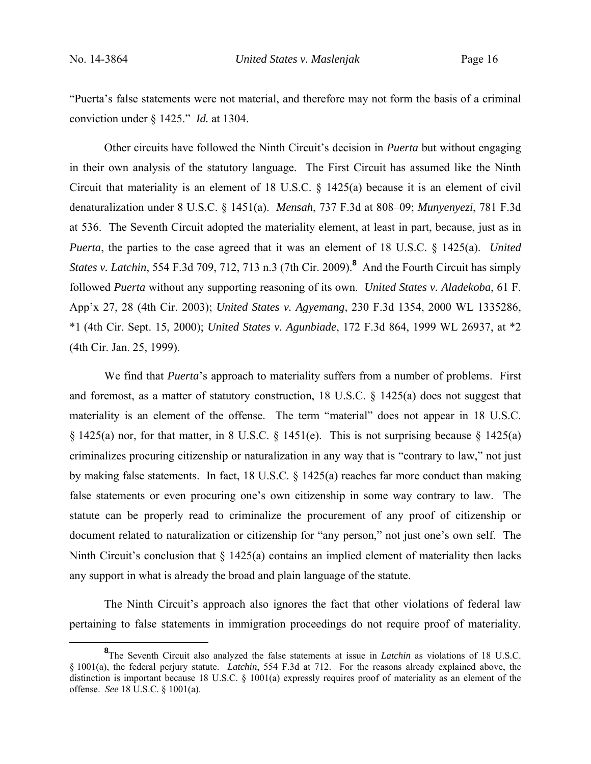"Puerta's false statements were not material, and therefore may not form the basis of a criminal conviction under § 1425." *Id.* at 1304.

Other circuits have followed the Ninth Circuit's decision in *Puerta* but without engaging in their own analysis of the statutory language. The First Circuit has assumed like the Ninth Circuit that materiality is an element of 18 U.S.C. § 1425(a) because it is an element of civil denaturalization under 8 U.S.C. § 1451(a). *Mensah*, 737 F.3d at 808–09; *Munyenyezi*, 781 F.3d at 536. The Seventh Circuit adopted the materiality element, at least in part, because, just as in *Puerta*, the parties to the case agreed that it was an element of 18 U.S.C. § 1425(a). *United States v. Latchin*, 554 F.3d 709, 712, 713 n.3 (7th Cir. 2009).**<sup>8</sup>** And the Fourth Circuit has simply followed *Puerta* without any supporting reasoning of its own. *United States v. Aladekoba*, 61 F. App'x 27, 28 (4th Cir. 2003); *United States v. Agyemang,* 230 F.3d 1354, 2000 WL 1335286, \*1 (4th Cir. Sept. 15, 2000); *United States v. Agunbiade*, 172 F.3d 864, 1999 WL 26937, at \*2 (4th Cir. Jan. 25, 1999).

We find that *Puerta*'s approach to materiality suffers from a number of problems. First and foremost, as a matter of statutory construction, 18 U.S.C. § 1425(a) does not suggest that materiality is an element of the offense. The term "material" does not appear in 18 U.S.C.  $\S$  1425(a) nor, for that matter, in 8 U.S.C.  $\S$  1451(e). This is not surprising because  $\S$  1425(a) criminalizes procuring citizenship or naturalization in any way that is "contrary to law," not just by making false statements. In fact, 18 U.S.C. § 1425(a) reaches far more conduct than making false statements or even procuring one's own citizenship in some way contrary to law. The statute can be properly read to criminalize the procurement of any proof of citizenship or document related to naturalization or citizenship for "any person," not just one's own self. The Ninth Circuit's conclusion that  $\S$  1425(a) contains an implied element of materiality then lacks any support in what is already the broad and plain language of the statute.

The Ninth Circuit's approach also ignores the fact that other violations of federal law pertaining to false statements in immigration proceedings do not require proof of materiality.

**<sup>8</sup>** The Seventh Circuit also analyzed the false statements at issue in *Latchin* as violations of 18 U.S.C. § 1001(a), the federal perjury statute. *Latchin*, 554 F.3d at 712. For the reasons already explained above, the distinction is important because 18 U.S.C. § 1001(a) expressly requires proof of materiality as an element of the offense. *See* 18 U.S.C. § 1001(a).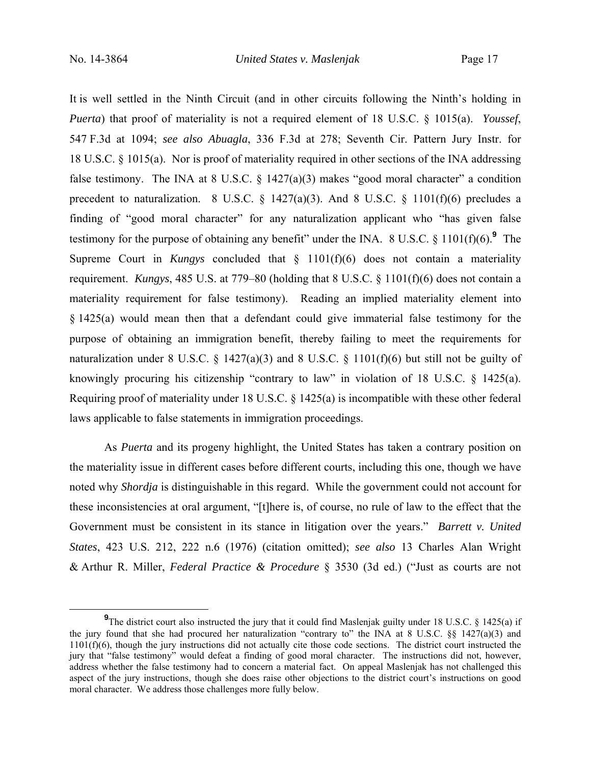It is well settled in the Ninth Circuit (and in other circuits following the Ninth's holding in *Puerta*) that proof of materiality is not a required element of 18 U.S.C. § 1015(a). *Youssef*, 547 F.3d at 1094; *see also Abuagla*, 336 F.3d at 278; Seventh Cir. Pattern Jury Instr. for 18 U.S.C. § 1015(a). Nor is proof of materiality required in other sections of the INA addressing false testimony. The INA at 8 U.S.C.  $\S$  1427(a)(3) makes "good moral character" a condition precedent to naturalization. 8 U.S.C. § 1427(a)(3). And 8 U.S.C. § 1101(f)(6) precludes a finding of "good moral character" for any naturalization applicant who "has given false testimony for the purpose of obtaining any benefit" under the INA.  $8 \text{ U.S.C.} \$   $1101(f)(6)$ .<sup>9</sup> The Supreme Court in *Kungys* concluded that § 1101(f)(6) does not contain a materiality requirement. *Kungys*, 485 U.S. at 779–80 (holding that 8 U.S.C. § 1101(f)(6) does not contain a materiality requirement for false testimony). Reading an implied materiality element into § 1425(a) would mean then that a defendant could give immaterial false testimony for the purpose of obtaining an immigration benefit, thereby failing to meet the requirements for naturalization under 8 U.S.C. § 1427(a)(3) and 8 U.S.C. § 1101(f)(6) but still not be guilty of knowingly procuring his citizenship "contrary to law" in violation of 18 U.S.C. § 1425(a). Requiring proof of materiality under 18 U.S.C. § 1425(a) is incompatible with these other federal laws applicable to false statements in immigration proceedings.

As *Puerta* and its progeny highlight, the United States has taken a contrary position on the materiality issue in different cases before different courts, including this one, though we have noted why *Shordja* is distinguishable in this regard. While the government could not account for these inconsistencies at oral argument, "[t]here is, of course, no rule of law to the effect that the Government must be consistent in its stance in litigation over the years." *Barrett v. United States*, 423 U.S. 212, 222 n.6 (1976) (citation omitted); *see also* 13 Charles Alan Wright & Arthur R. Miller, *Federal Practice & Procedure* § 3530 (3d ed.) ("Just as courts are not

**<sup>9</sup> 9**The district court also instructed the jury that it could find Maslenjak guilty under 18 U.S.C. § 1425(a) if the jury found that she had procured her naturalization "contrary to" the INA at 8 U.S.C. §§ 1427(a)(3) and  $1101(f)(6)$ , though the jury instructions did not actually cite those code sections. The district court instructed the jury that "false testimony" would defeat a finding of good moral character. The instructions did not, however, address whether the false testimony had to concern a material fact. On appeal Maslenjak has not challenged this aspect of the jury instructions, though she does raise other objections to the district court's instructions on good moral character. We address those challenges more fully below.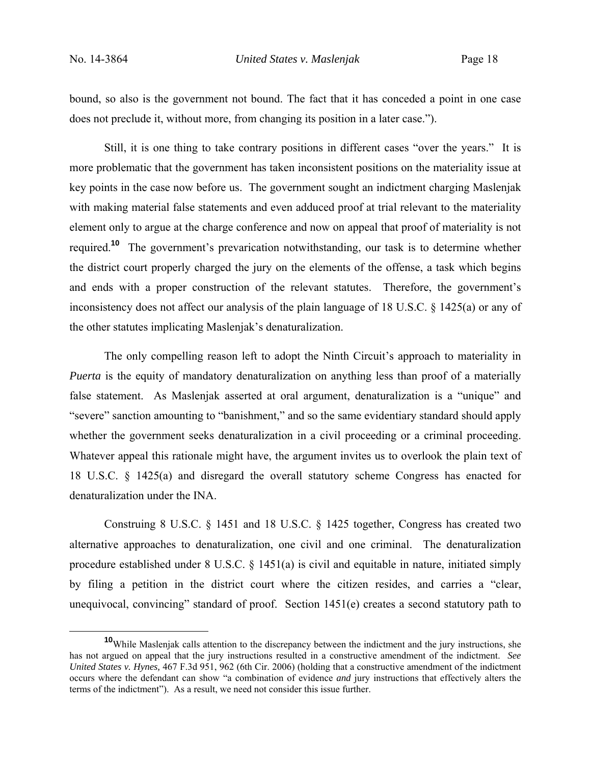bound, so also is the government not bound. The fact that it has conceded a point in one case does not preclude it, without more, from changing its position in a later case.").

Still, it is one thing to take contrary positions in different cases "over the years." It is more problematic that the government has taken inconsistent positions on the materiality issue at key points in the case now before us. The government sought an indictment charging Maslenjak with making material false statements and even adduced proof at trial relevant to the materiality element only to argue at the charge conference and now on appeal that proof of materiality is not required.**<sup>10</sup>** The government's prevarication notwithstanding, our task is to determine whether the district court properly charged the jury on the elements of the offense, a task which begins and ends with a proper construction of the relevant statutes. Therefore, the government's inconsistency does not affect our analysis of the plain language of 18 U.S.C. § 1425(a) or any of the other statutes implicating Maslenjak's denaturalization.

The only compelling reason left to adopt the Ninth Circuit's approach to materiality in *Puerta* is the equity of mandatory denaturalization on anything less than proof of a materially false statement. As Maslenjak asserted at oral argument, denaturalization is a "unique" and "severe" sanction amounting to "banishment," and so the same evidentiary standard should apply whether the government seeks denaturalization in a civil proceeding or a criminal proceeding. Whatever appeal this rationale might have, the argument invites us to overlook the plain text of 18 U.S.C. § 1425(a) and disregard the overall statutory scheme Congress has enacted for denaturalization under the INA.

Construing 8 U.S.C. § 1451 and 18 U.S.C. § 1425 together, Congress has created two alternative approaches to denaturalization, one civil and one criminal. The denaturalization procedure established under 8 U.S.C. § 1451(a) is civil and equitable in nature, initiated simply by filing a petition in the district court where the citizen resides, and carries a "clear, unequivocal, convincing" standard of proof. Section 1451(e) creates a second statutory path to

**<sup>10</sup>**While Maslenjak calls attention to the discrepancy between the indictment and the jury instructions, she has not argued on appeal that the jury instructions resulted in a constructive amendment of the indictment. *See United States v. Hynes,* 467 F.3d 951, 962 (6th Cir. 2006) (holding that a constructive amendment of the indictment occurs where the defendant can show "a combination of evidence *and* jury instructions that effectively alters the terms of the indictment"). As a result, we need not consider this issue further.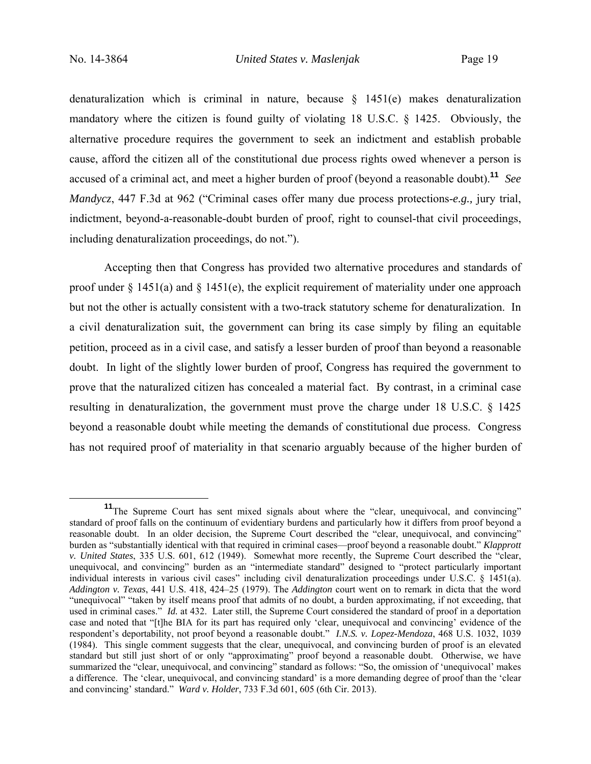denaturalization which is criminal in nature, because  $\frac{1451(e)}{e}$  makes denaturalization mandatory where the citizen is found guilty of violating 18 U.S.C. § 1425. Obviously, the alternative procedure requires the government to seek an indictment and establish probable cause, afford the citizen all of the constitutional due process rights owed whenever a person is accused of a criminal act, and meet a higher burden of proof (beyond a reasonable doubt).**<sup>11</sup>** *See Mandycz*, 447 F.3d at 962 ("Criminal cases offer many due process protections-*e.g.,* jury trial, indictment, beyond-a-reasonable-doubt burden of proof, right to counsel-that civil proceedings, including denaturalization proceedings, do not.").

Accepting then that Congress has provided two alternative procedures and standards of proof under  $\S$  1451(a) and  $\S$  1451(e), the explicit requirement of materiality under one approach but not the other is actually consistent with a two-track statutory scheme for denaturalization. In a civil denaturalization suit, the government can bring its case simply by filing an equitable petition, proceed as in a civil case, and satisfy a lesser burden of proof than beyond a reasonable doubt. In light of the slightly lower burden of proof, Congress has required the government to prove that the naturalized citizen has concealed a material fact. By contrast, in a criminal case resulting in denaturalization, the government must prove the charge under 18 U.S.C. § 1425 beyond a reasonable doubt while meeting the demands of constitutional due process. Congress has not required proof of materiality in that scenario arguably because of the higher burden of

<sup>&</sup>lt;sup>11</sup>The Supreme Court has sent mixed signals about where the "clear, unequivocal, and convincing" standard of proof falls on the continuum of evidentiary burdens and particularly how it differs from proof beyond a reasonable doubt. In an older decision, the Supreme Court described the "clear, unequivocal, and convincing" burden as "substantially identical with that required in criminal cases—proof beyond a reasonable doubt." *Klapprott v. United States*, 335 U.S. 601, 612 (1949). Somewhat more recently, the Supreme Court described the "clear, unequivocal, and convincing" burden as an "intermediate standard" designed to "protect particularly important individual interests in various civil cases" including civil denaturalization proceedings under U.S.C. § 1451(a). *Addington v. Texas*, 441 U.S. 418, 424–25 (1979). The *Addington* court went on to remark in dicta that the word "unequivocal" "taken by itself means proof that admits of no doubt, a burden approximating, if not exceeding, that used in criminal cases." *Id.* at 432. Later still, the Supreme Court considered the standard of proof in a deportation case and noted that "[t]he BIA for its part has required only 'clear, unequivocal and convincing' evidence of the respondent's deportability, not proof beyond a reasonable doubt." *I.N.S. v. Lopez-Mendoza*, 468 U.S. 1032, 1039 (1984). This single comment suggests that the clear, unequivocal, and convincing burden of proof is an elevated standard but still just short of or only "approximating" proof beyond a reasonable doubt. Otherwise, we have summarized the "clear, unequivocal, and convincing" standard as follows: "So, the omission of 'unequivocal' makes a difference. The 'clear, unequivocal, and convincing standard' is a more demanding degree of proof than the 'clear and convincing' standard." *Ward v. Holder*, 733 F.3d 601, 605 (6th Cir. 2013).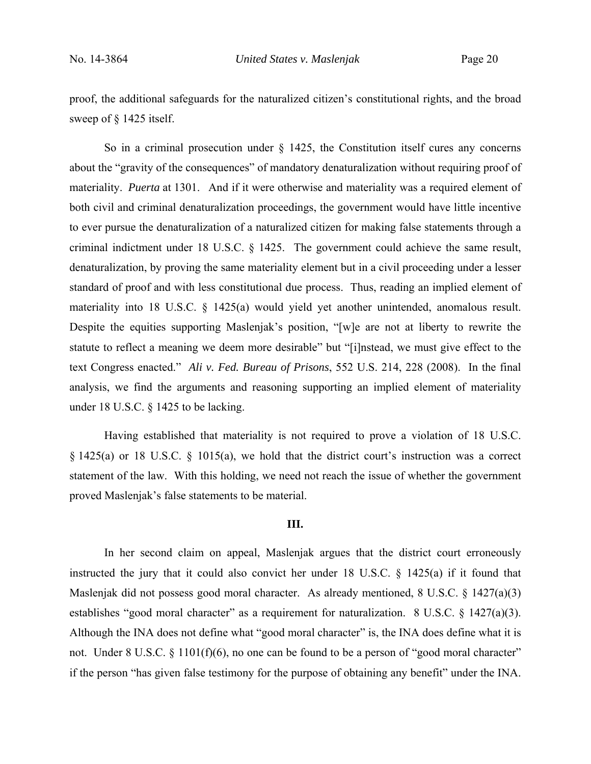proof, the additional safeguards for the naturalized citizen's constitutional rights, and the broad sweep of § 1425 itself.

So in a criminal prosecution under § 1425, the Constitution itself cures any concerns about the "gravity of the consequences" of mandatory denaturalization without requiring proof of materiality. *Puerta* at 1301. And if it were otherwise and materiality was a required element of both civil and criminal denaturalization proceedings, the government would have little incentive to ever pursue the denaturalization of a naturalized citizen for making false statements through a criminal indictment under 18 U.S.C. § 1425. The government could achieve the same result, denaturalization, by proving the same materiality element but in a civil proceeding under a lesser standard of proof and with less constitutional due process. Thus, reading an implied element of materiality into 18 U.S.C. § 1425(a) would yield yet another unintended, anomalous result. Despite the equities supporting Maslenjak's position, "[w]e are not at liberty to rewrite the statute to reflect a meaning we deem more desirable" but "[i]nstead, we must give effect to the text Congress enacted." *Ali v. Fed. Bureau of Prisons*, 552 U.S. 214, 228 (2008). In the final analysis, we find the arguments and reasoning supporting an implied element of materiality under 18 U.S.C. § 1425 to be lacking.

 Having established that materiality is not required to prove a violation of 18 U.S.C. § 1425(a) or 18 U.S.C. § 1015(a), we hold that the district court's instruction was a correct statement of the law. With this holding, we need not reach the issue of whether the government proved Maslenjak's false statements to be material.

#### **III.**

 In her second claim on appeal, Maslenjak argues that the district court erroneously instructed the jury that it could also convict her under 18 U.S.C. § 1425(a) if it found that Maslenjak did not possess good moral character. As already mentioned, 8 U.S.C. § 1427(a)(3) establishes "good moral character" as a requirement for naturalization. 8 U.S.C. § 1427(a)(3). Although the INA does not define what "good moral character" is, the INA does define what it is not. Under 8 U.S.C. § 1101(f)(6), no one can be found to be a person of "good moral character" if the person "has given false testimony for the purpose of obtaining any benefit" under the INA.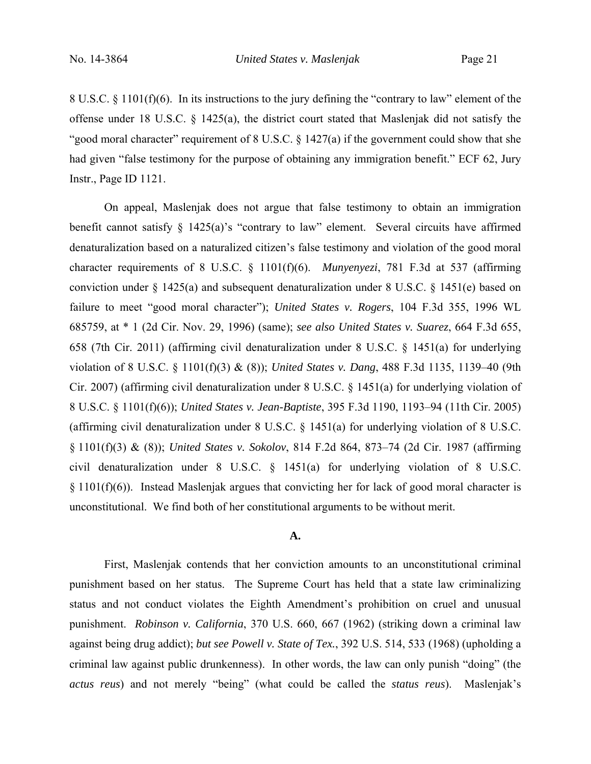8 U.S.C. § 1101(f)(6). In its instructions to the jury defining the "contrary to law" element of the offense under 18 U.S.C. § 1425(a), the district court stated that Maslenjak did not satisfy the "good moral character" requirement of 8 U.S.C. § 1427(a) if the government could show that she had given "false testimony for the purpose of obtaining any immigration benefit." ECF 62, Jury Instr., Page ID 1121.

 On appeal, Maslenjak does not argue that false testimony to obtain an immigration benefit cannot satisfy § 1425(a)'s "contrary to law" element. Several circuits have affirmed denaturalization based on a naturalized citizen's false testimony and violation of the good moral character requirements of 8 U.S.C. § 1101(f)(6). *Munyenyezi*, 781 F.3d at 537 (affirming conviction under § 1425(a) and subsequent denaturalization under 8 U.S.C. § 1451(e) based on failure to meet "good moral character"); *United States v. Rogers*, 104 F.3d 355, 1996 WL 685759, at \* 1 (2d Cir. Nov. 29, 1996) (same); *see also United States v. Suarez*, 664 F.3d 655, 658 (7th Cir. 2011) (affirming civil denaturalization under 8 U.S.C. § 1451(a) for underlying violation of 8 U.S.C. § 1101(f)(3) & (8)); *United States v. Dang*, 488 F.3d 1135, 1139–40 (9th Cir. 2007) (affirming civil denaturalization under 8 U.S.C. § 1451(a) for underlying violation of 8 U.S.C. § 1101(f)(6)); *United States v. Jean-Baptiste*, 395 F.3d 1190, 1193–94 (11th Cir. 2005) (affirming civil denaturalization under 8 U.S.C. § 1451(a) for underlying violation of 8 U.S.C. § 1101(f)(3) & (8)); *United States v. Sokolov*, 814 F.2d 864, 873–74 (2d Cir. 1987 (affirming civil denaturalization under 8 U.S.C. § 1451(a) for underlying violation of 8 U.S.C. § 1101(f)(6)). Instead Maslenjak argues that convicting her for lack of good moral character is unconstitutional. We find both of her constitutional arguments to be without merit.

## **A.**

 First, Maslenjak contends that her conviction amounts to an unconstitutional criminal punishment based on her status. The Supreme Court has held that a state law criminalizing status and not conduct violates the Eighth Amendment's prohibition on cruel and unusual punishment. *Robinson v. California*, 370 U.S. 660, 667 (1962) (striking down a criminal law against being drug addict); *but see Powell v. State of Tex.*, 392 U.S. 514, 533 (1968) (upholding a criminal law against public drunkenness). In other words, the law can only punish "doing" (the *actus reus*) and not merely "being" (what could be called the *status reus*). Maslenjak's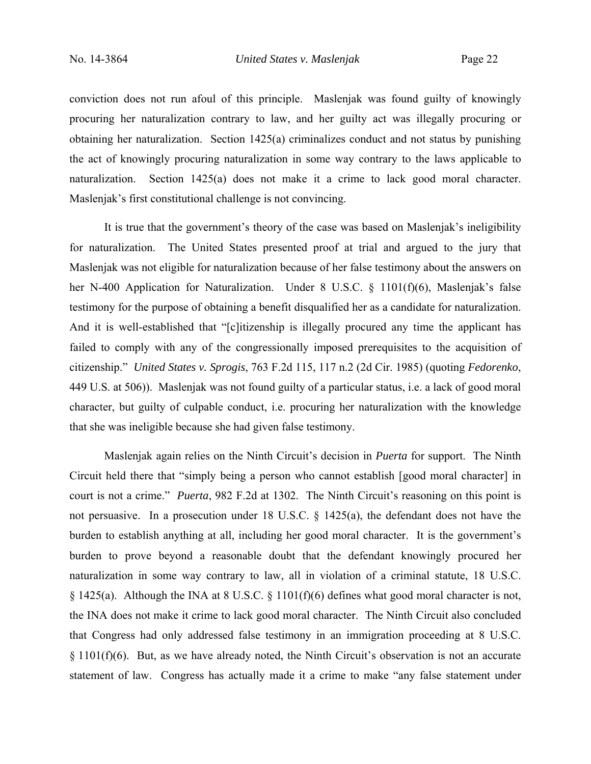conviction does not run afoul of this principle. Maslenjak was found guilty of knowingly procuring her naturalization contrary to law, and her guilty act was illegally procuring or obtaining her naturalization. Section 1425(a) criminalizes conduct and not status by punishing the act of knowingly procuring naturalization in some way contrary to the laws applicable to naturalization. Section 1425(a) does not make it a crime to lack good moral character. Maslenjak's first constitutional challenge is not convincing.

 It is true that the government's theory of the case was based on Maslenjak's ineligibility for naturalization. The United States presented proof at trial and argued to the jury that Maslenjak was not eligible for naturalization because of her false testimony about the answers on her N-400 Application for Naturalization. Under 8 U.S.C. § 1101(f)(6), Maslenjak's false testimony for the purpose of obtaining a benefit disqualified her as a candidate for naturalization. And it is well-established that "[c]itizenship is illegally procured any time the applicant has failed to comply with any of the congressionally imposed prerequisites to the acquisition of citizenship." *United States v. Sprogis*, 763 F.2d 115, 117 n.2 (2d Cir. 1985) (quoting *Fedorenko*, 449 U.S. at 506)). Maslenjak was not found guilty of a particular status, i.e. a lack of good moral character, but guilty of culpable conduct, i.e. procuring her naturalization with the knowledge that she was ineligible because she had given false testimony.

 Maslenjak again relies on the Ninth Circuit's decision in *Puerta* for support. The Ninth Circuit held there that "simply being a person who cannot establish [good moral character] in court is not a crime." *Puerta*, 982 F.2d at 1302. The Ninth Circuit's reasoning on this point is not persuasive. In a prosecution under 18 U.S.C. § 1425(a), the defendant does not have the burden to establish anything at all, including her good moral character. It is the government's burden to prove beyond a reasonable doubt that the defendant knowingly procured her naturalization in some way contrary to law, all in violation of a criminal statute, 18 U.S.C. § 1425(a). Although the INA at 8 U.S.C. § 1101(f)(6) defines what good moral character is not, the INA does not make it crime to lack good moral character. The Ninth Circuit also concluded that Congress had only addressed false testimony in an immigration proceeding at 8 U.S.C.  $§$  1101(f)(6). But, as we have already noted, the Ninth Circuit's observation is not an accurate statement of law. Congress has actually made it a crime to make "any false statement under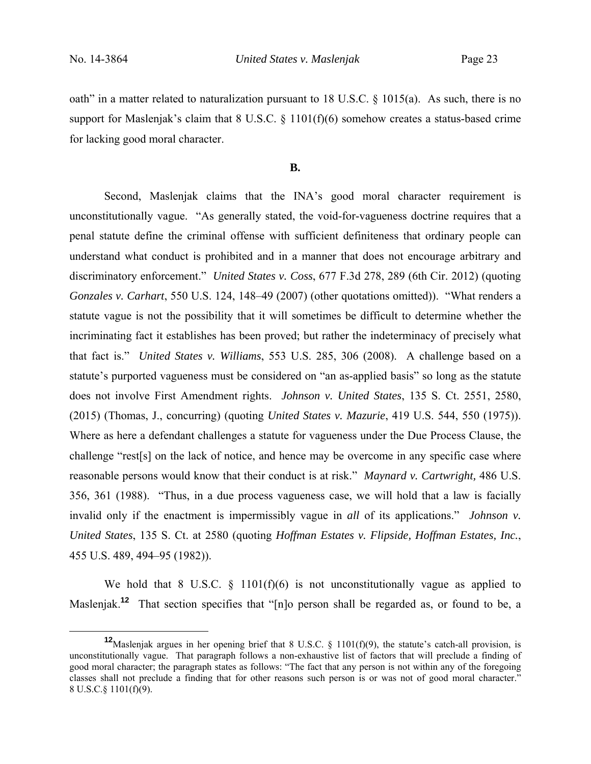oath" in a matter related to naturalization pursuant to 18 U.S.C. § 1015(a). As such, there is no support for Maslenjak's claim that 8 U.S.C. § 1101(f)(6) somehow creates a status-based crime for lacking good moral character.

### **B.**

 Second, Maslenjak claims that the INA's good moral character requirement is unconstitutionally vague. "As generally stated, the void-for-vagueness doctrine requires that a penal statute define the criminal offense with sufficient definiteness that ordinary people can understand what conduct is prohibited and in a manner that does not encourage arbitrary and discriminatory enforcement." *United States v. Coss*, 677 F.3d 278, 289 (6th Cir. 2012) (quoting *Gonzales v. Carhart*, 550 U.S. 124, 148–49 (2007) (other quotations omitted)). "What renders a statute vague is not the possibility that it will sometimes be difficult to determine whether the incriminating fact it establishes has been proved; but rather the indeterminacy of precisely what that fact is." *United States v. Williams*, 553 U.S. 285, 306 (2008). A challenge based on a statute's purported vagueness must be considered on "an as-applied basis" so long as the statute does not involve First Amendment rights. *Johnson v. United States*, 135 S. Ct. 2551, 2580, (2015) (Thomas, J., concurring) (quoting *United States v. Mazurie*, 419 U.S. 544, 550 (1975)). Where as here a defendant challenges a statute for vagueness under the Due Process Clause, the challenge "rest[s] on the lack of notice, and hence may be overcome in any specific case where reasonable persons would know that their conduct is at risk." *Maynard v. Cartwright,* 486 U.S. 356, 361 (1988). "Thus, in a due process vagueness case, we will hold that a law is facially invalid only if the enactment is impermissibly vague in *all* of its applications." *Johnson v. United States*, 135 S. Ct. at 2580 (quoting *Hoffman Estates v. Flipside, Hoffman Estates, Inc.*, 455 U.S. 489, 494–95 (1982)).

We hold that  $8 \text{ U.S.C. } \S 1101(f)(6)$  is not unconstitutionally vague as applied to Maslenjak.<sup>12</sup> That section specifies that "[n]o person shall be regarded as, or found to be, a

**<sup>12</sup>**Maslenjak argues in her opening brief that 8 U.S.C. § 1101(f)(9), the statute's catch-all provision, is unconstitutionally vague. That paragraph follows a non-exhaustive list of factors that will preclude a finding of good moral character; the paragraph states as follows: "The fact that any person is not within any of the foregoing classes shall not preclude a finding that for other reasons such person is or was not of good moral character." 8 U.S.C.§ 1101(f)(9).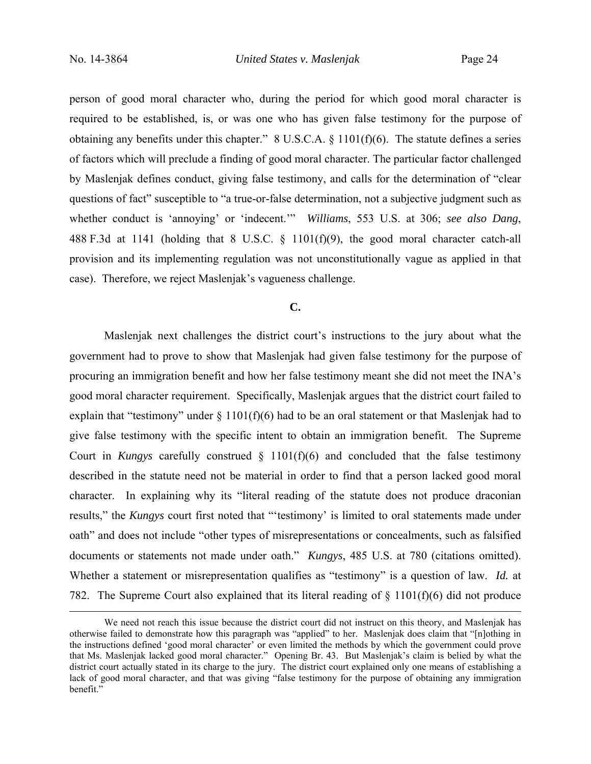person of good moral character who, during the period for which good moral character is required to be established, is, or was one who has given false testimony for the purpose of obtaining any benefits under this chapter." 8 U.S.C.A. § 1101(f)(6). The statute defines a series of factors which will preclude a finding of good moral character. The particular factor challenged by Maslenjak defines conduct, giving false testimony, and calls for the determination of "clear questions of fact" susceptible to "a true-or-false determination, not a subjective judgment such as whether conduct is 'annoying' or 'indecent.'" *Williams*, 553 U.S. at 306; *see also Dang*, 488 F.3d at 1141 (holding that 8 U.S.C. § 1101(f)(9), the good moral character catch-all provision and its implementing regulation was not unconstitutionally vague as applied in that case). Therefore, we reject Maslenjak's vagueness challenge.

#### **C.**

Maslenjak next challenges the district court's instructions to the jury about what the government had to prove to show that Maslenjak had given false testimony for the purpose of procuring an immigration benefit and how her false testimony meant she did not meet the INA's good moral character requirement. Specifically, Maslenjak argues that the district court failed to explain that "testimony" under  $\S 1101(f)(6)$  had to be an oral statement or that Maslenjak had to give false testimony with the specific intent to obtain an immigration benefit. The Supreme Court in *Kungys* carefully construed § 1101(f)(6) and concluded that the false testimony described in the statute need not be material in order to find that a person lacked good moral character. In explaining why its "literal reading of the statute does not produce draconian results," the *Kungys* court first noted that "'testimony' is limited to oral statements made under oath" and does not include "other types of misrepresentations or concealments, such as falsified documents or statements not made under oath." *Kungys*, 485 U.S. at 780 (citations omitted). Whether a statement or misrepresentation qualifies as "testimony" is a question of law. *Id.* at 782. The Supreme Court also explained that its literal reading of § 1101(f)(6) did not produce

We need not reach this issue because the district court did not instruct on this theory, and Maslenjak has otherwise failed to demonstrate how this paragraph was "applied" to her. Maslenjak does claim that "[n]othing in the instructions defined 'good moral character' or even limited the methods by which the government could prove that Ms. Maslenjak lacked good moral character." Opening Br. 43. But Maslenjak's claim is belied by what the district court actually stated in its charge to the jury. The district court explained only one means of establishing a lack of good moral character, and that was giving "false testimony for the purpose of obtaining any immigration benefit."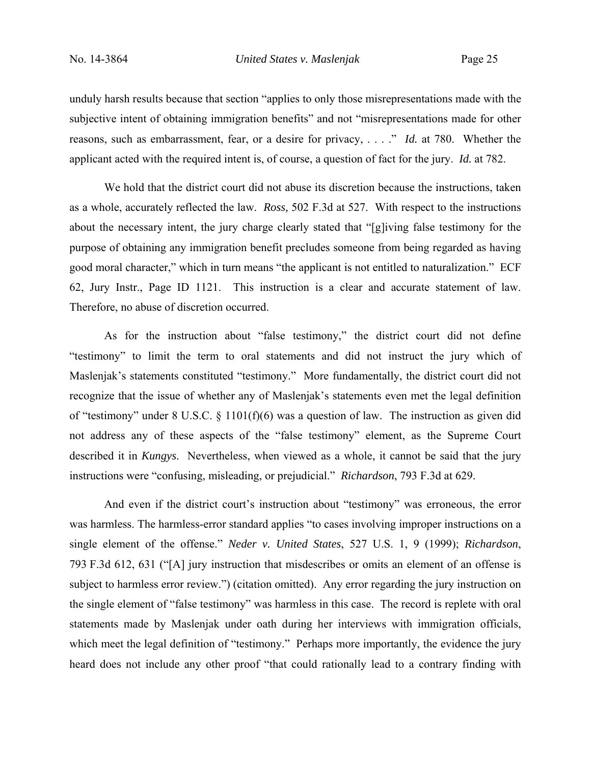unduly harsh results because that section "applies to only those misrepresentations made with the subjective intent of obtaining immigration benefits" and not "misrepresentations made for other reasons, such as embarrassment, fear, or a desire for privacy, . . . ." *Id.* at 780. Whether the applicant acted with the required intent is, of course, a question of fact for the jury. *Id.* at 782.

 We hold that the district court did not abuse its discretion because the instructions, taken as a whole, accurately reflected the law. *Ross,* 502 F.3d at 527. With respect to the instructions about the necessary intent, the jury charge clearly stated that "[g]iving false testimony for the purpose of obtaining any immigration benefit precludes someone from being regarded as having good moral character," which in turn means "the applicant is not entitled to naturalization." ECF 62, Jury Instr., Page ID 1121. This instruction is a clear and accurate statement of law. Therefore, no abuse of discretion occurred.

 As for the instruction about "false testimony," the district court did not define "testimony" to limit the term to oral statements and did not instruct the jury which of Maslenjak's statements constituted "testimony." More fundamentally, the district court did not recognize that the issue of whether any of Maslenjak's statements even met the legal definition of "testimony" under 8 U.S.C. § 1101(f)(6) was a question of law. The instruction as given did not address any of these aspects of the "false testimony" element, as the Supreme Court described it in *Kungys*. Nevertheless, when viewed as a whole, it cannot be said that the jury instructions were "confusing, misleading, or prejudicial." *Richardson*, 793 F.3d at 629.

 And even if the district court's instruction about "testimony" was erroneous, the error was harmless. The harmless-error standard applies "to cases involving improper instructions on a single element of the offense." *Neder v. United States*, 527 U.S. 1, 9 (1999); *Richardson*, 793 F.3d 612, 631 ("[A] jury instruction that misdescribes or omits an element of an offense is subject to harmless error review.") (citation omitted). Any error regarding the jury instruction on the single element of "false testimony" was harmless in this case. The record is replete with oral statements made by Maslenjak under oath during her interviews with immigration officials, which meet the legal definition of "testimony." Perhaps more importantly, the evidence the jury heard does not include any other proof "that could rationally lead to a contrary finding with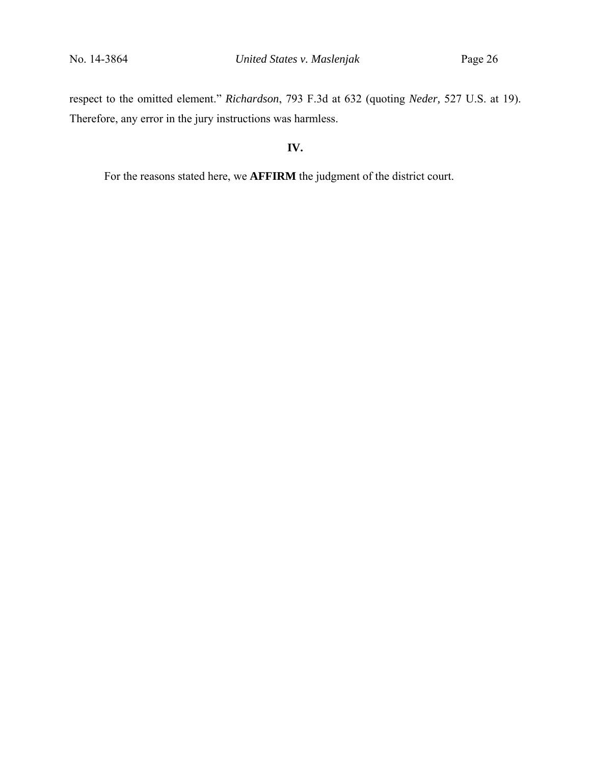respect to the omitted element." *Richardson*, 793 F.3d at 632 (quoting *Neder,* 527 U.S. at 19). Therefore, any error in the jury instructions was harmless.

# **IV.**

For the reasons stated here, we **AFFIRM** the judgment of the district court.